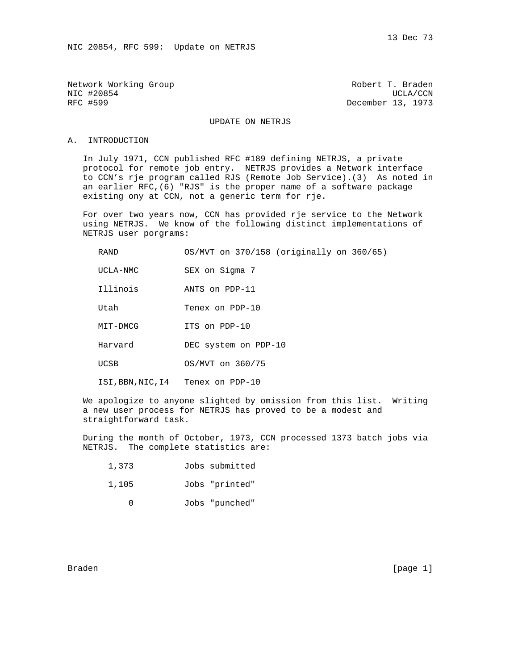Network Working Group and the Communist Control of Robert T. Braden NIC #20854 UCLA/CCN<br>RFC #599 UCLA/CCN December 13, 1973

December 13, 1973

## UPDATE ON NETRJS

#### A. INTRODUCTION

 In July 1971, CCN published RFC #189 defining NETRJS, a private protocol for remote job entry. NETRJS provides a Network interface to CCN's rje program called RJS (Remote Job Service).(3) As noted in an earlier RFC,(6) "RJS" is the proper name of a software package existing ony at CCN, not a generic term for rje.

 For over two years now, CCN has provided rje service to the Network using NETRJS. We know of the following distinct implementations of NETRJS user porgrams:

| RAND     | 0S/MVT on 370/158 (originally on 360/65) |
|----------|------------------------------------------|
| UCLA-NMC | SEX on Sigma 7                           |
| Illinois | ANTS on PDP-11                           |
| Utah     | Tenex on PDP-10                          |
| MIT-DMCG | ITS on PDP-10                            |
| Harvard  | DEC system on PDP-10                     |
| UCSB     | OS/MVT on 360/75                         |

ISI,BBN,NIC,I4 Tenex on PDP-10

 We apologize to anyone slighted by omission from this list. Writing a new user process for NETRJS has proved to be a modest and straightforward task.

 During the month of October, 1973, CCN processed 1373 batch jobs via NETRJS. The complete statistics are:

1,105 Jobs "printed"

0 Jobs "punched"

Braden [page 1]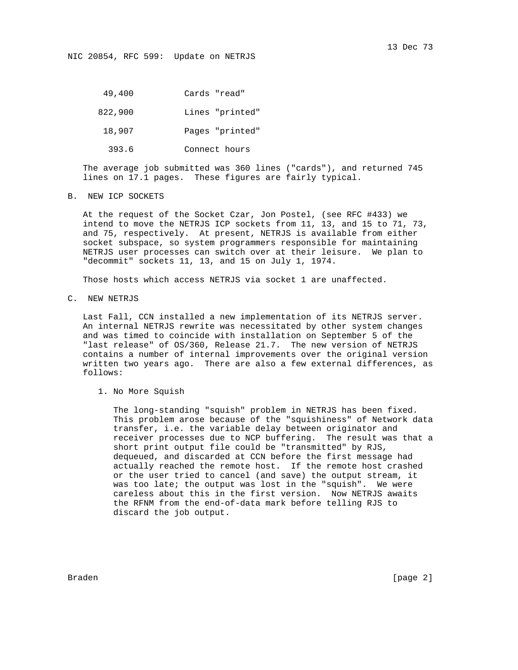NIC 20854, RFC 599: Update on NETRJS

 49,400 Cards "read" 822,900 Lines "printed" 18,907 Pages "printed" 393.6 Connect hours

 The average job submitted was 360 lines ("cards"), and returned 745 lines on 17.1 pages. These figures are fairly typical.

B. NEW ICP SOCKETS

 At the request of the Socket Czar, Jon Postel, (see RFC #433) we intend to move the NETRJS ICP sockets from 11, 13, and 15 to 71, 73, and 75, respectively. At present, NETRJS is available from either socket subspace, so system programmers responsible for maintaining NETRJS user processes can switch over at their leisure. We plan to "decommit" sockets 11, 13, and 15 on July 1, 1974.

Those hosts which access NETRJS via socket 1 are unaffected.

C. NEW NETRJS

 Last Fall, CCN installed a new implementation of its NETRJS server. An internal NETRJS rewrite was necessitated by other system changes and was timed to coincide with installation on September 5 of the "last release" of OS/360, Release 21.7. The new version of NETRJS contains a number of internal improvements over the original version written two years ago. There are also a few external differences, as follows:

1. No More Squish

 The long-standing "squish" problem in NETRJS has been fixed. This problem arose because of the "squishiness" of Network data transfer, i.e. the variable delay between originator and receiver processes due to NCP buffering. The result was that a short print output file could be "transmitted" by RJS, dequeued, and discarded at CCN before the first message had actually reached the remote host. If the remote host crashed or the user tried to cancel (and save) the output stream, it was too late; the output was lost in the "squish". We were careless about this in the first version. Now NETRJS awaits the RFNM from the end-of-data mark before telling RJS to discard the job output.

Braden [page 2]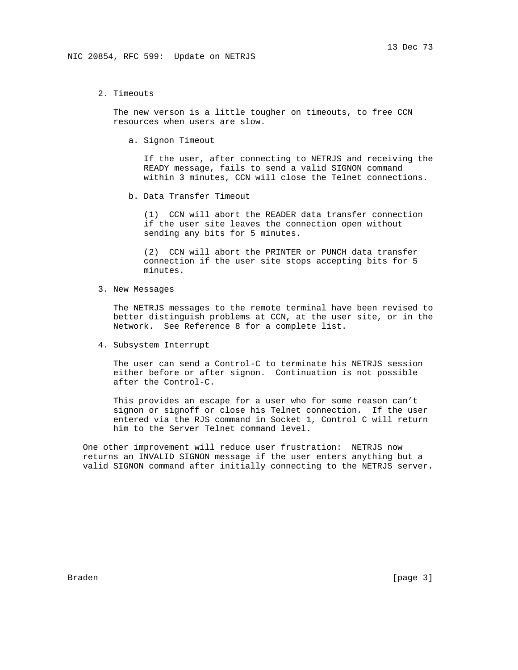2. Timeouts

 The new verson is a little tougher on timeouts, to free CCN resources when users are slow.

a. Signon Timeout

 If the user, after connecting to NETRJS and receiving the READY message, fails to send a valid SIGNON command within 3 minutes, CCN will close the Telnet connections.

b. Data Transfer Timeout

 (1) CCN will abort the READER data transfer connection if the user site leaves the connection open without sending any bits for 5 minutes.

 (2) CCN will abort the PRINTER or PUNCH data transfer connection if the user site stops accepting bits for 5 minutes.

3. New Messages

 The NETRJS messages to the remote terminal have been revised to better distinguish problems at CCN, at the user site, or in the Network. See Reference 8 for a complete list.

4. Subsystem Interrupt

 The user can send a Control-C to terminate his NETRJS session either before or after signon. Continuation is not possible after the Control-C.

 This provides an escape for a user who for some reason can't signon or signoff or close his Telnet connection. If the user entered via the RJS command in Socket 1, Control C will return him to the Server Telnet command level.

 One other improvement will reduce user frustration: NETRJS now returns an INVALID SIGNON message if the user enters anything but a valid SIGNON command after initially connecting to the NETRJS server.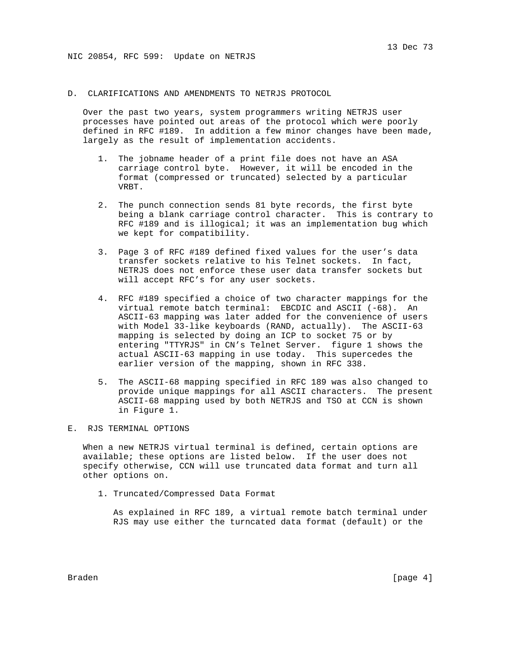### D. CLARIFICATIONS AND AMENDMENTS TO NETRJS PROTOCOL

 Over the past two years, system programmers writing NETRJS user processes have pointed out areas of the protocol which were poorly defined in RFC #189. In addition a few minor changes have been made, largely as the result of implementation accidents.

- 1. The jobname header of a print file does not have an ASA carriage control byte. However, it will be encoded in the format (compressed or truncated) selected by a particular VRBT.
- 2. The punch connection sends 81 byte records, the first byte being a blank carriage control character. This is contrary to RFC #189 and is illogical; it was an implementation bug which we kept for compatibility.
- 3. Page 3 of RFC #189 defined fixed values for the user's data transfer sockets relative to his Telnet sockets. In fact, NETRJS does not enforce these user data transfer sockets but will accept RFC's for any user sockets.
- 4. RFC #189 specified a choice of two character mappings for the virtual remote batch terminal: EBCDIC and ASCII (-68). An ASCII-63 mapping was later added for the convenience of users with Model 33-like keyboards (RAND, actually). The ASCII-63 mapping is selected by doing an ICP to socket 75 or by entering "TTYRJS" in CN's Telnet Server. figure 1 shows the actual ASCII-63 mapping in use today. This supercedes the earlier version of the mapping, shown in RFC 338.
- 5. The ASCII-68 mapping specified in RFC 189 was also changed to provide unique mappings for all ASCII characters. The present ASCII-68 mapping used by both NETRJS and TSO at CCN is shown in Figure 1.

#### E. RJS TERMINAL OPTIONS

 When a new NETRJS virtual terminal is defined, certain options are available; these options are listed below. If the user does not specify otherwise, CCN will use truncated data format and turn all other options on.

1. Truncated/Compressed Data Format

 As explained in RFC 189, a virtual remote batch terminal under RJS may use either the turncated data format (default) or the

Braden [page 4]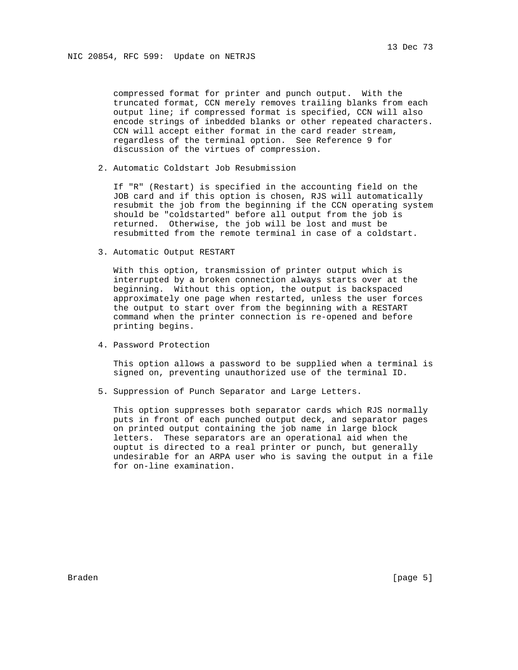compressed format for printer and punch output. With the truncated format, CCN merely removes trailing blanks from each output line; if compressed format is specified, CCN will also encode strings of inbedded blanks or other repeated characters. CCN will accept either format in the card reader stream, regardless of the terminal option. See Reference 9 for discussion of the virtues of compression.

2. Automatic Coldstart Job Resubmission

 If "R" (Restart) is specified in the accounting field on the JOB card and if this option is chosen, RJS will automatically resubmit the job from the beginning if the CCN operating system should be "coldstarted" before all output from the job is returned. Otherwise, the job will be lost and must be resubmitted from the remote terminal in case of a coldstart.

3. Automatic Output RESTART

 With this option, transmission of printer output which is interrupted by a broken connection always starts over at the beginning. Without this option, the output is backspaced approximately one page when restarted, unless the user forces the output to start over from the beginning with a RESTART command when the printer connection is re-opened and before printing begins.

4. Password Protection

 This option allows a password to be supplied when a terminal is signed on, preventing unauthorized use of the terminal ID.

5. Suppression of Punch Separator and Large Letters.

 This option suppresses both separator cards which RJS normally puts in front of each punched output deck, and separator pages on printed output containing the job name in large block letters. These separators are an operational aid when the ouptut is directed to a real printer or punch, but generally undesirable for an ARPA user who is saving the output in a file for on-line examination.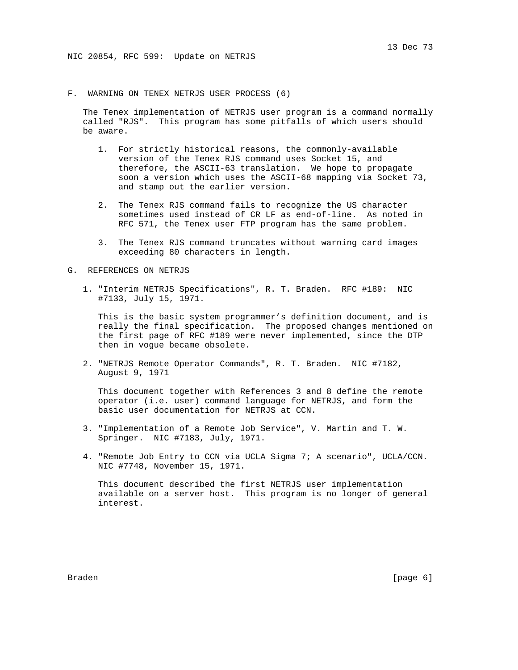F. WARNING ON TENEX NETRJS USER PROCESS (6)

 The Tenex implementation of NETRJS user program is a command normally called "RJS". This program has some pitfalls of which users should be aware.

- 1. For strictly historical reasons, the commonly-available version of the Tenex RJS command uses Socket 15, and therefore, the ASCII-63 translation. We hope to propagate soon a version which uses the ASCII-68 mapping via Socket 73, and stamp out the earlier version.
- 2. The Tenex RJS command fails to recognize the US character sometimes used instead of CR LF as end-of-line. As noted in RFC 571, the Tenex user FTP program has the same problem.
- 3. The Tenex RJS command truncates without warning card images exceeding 80 characters in length.
- G. REFERENCES ON NETRJS
	- 1. "Interim NETRJS Specifications", R. T. Braden. RFC #189: NIC #7133, July 15, 1971.

 This is the basic system programmer's definition document, and is really the final specification. The proposed changes mentioned on the first page of RFC #189 were never implemented, since the DTP then in vogue became obsolete.

 2. "NETRJS Remote Operator Commands", R. T. Braden. NIC #7182, August 9, 1971

 This document together with References 3 and 8 define the remote operator (i.e. user) command language for NETRJS, and form the basic user documentation for NETRJS at CCN.

- 3. "Implementation of a Remote Job Service", V. Martin and T. W. Springer. NIC #7183, July, 1971.
- 4. "Remote Job Entry to CCN via UCLA Sigma 7; A scenario", UCLA/CCN. NIC #7748, November 15, 1971.

 This document described the first NETRJS user implementation available on a server host. This program is no longer of general interest.

Braden [page 6]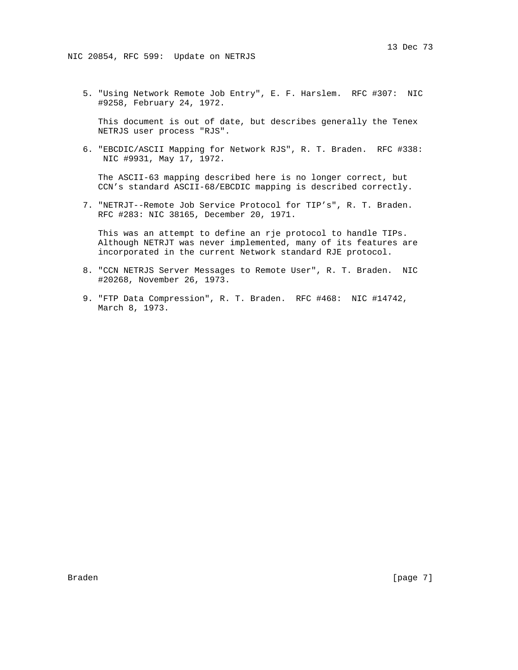5. "Using Network Remote Job Entry", E. F. Harslem. RFC #307: NIC #9258, February 24, 1972.

 This document is out of date, but describes generally the Tenex NETRJS user process "RJS".

 6. "EBCDIC/ASCII Mapping for Network RJS", R. T. Braden. RFC #338: NIC #9931, May 17, 1972.

 The ASCII-63 mapping described here is no longer correct, but CCN's standard ASCII-68/EBCDIC mapping is described correctly.

 7. "NETRJT--Remote Job Service Protocol for TIP's", R. T. Braden. RFC #283: NIC 38165, December 20, 1971.

 This was an attempt to define an rje protocol to handle TIPs. Although NETRJT was never implemented, many of its features are incorporated in the current Network standard RJE protocol.

- 8. "CCN NETRJS Server Messages to Remote User", R. T. Braden. NIC #20268, November 26, 1973.
- 9. "FTP Data Compression", R. T. Braden. RFC #468: NIC #14742, March 8, 1973.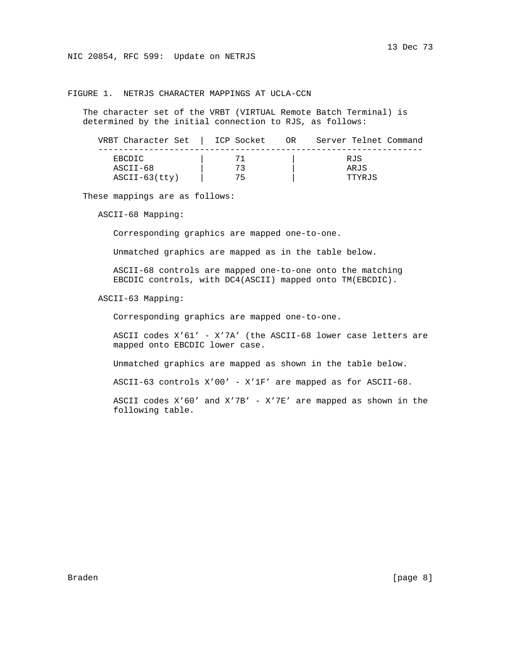NIC 20854, RFC 599: Update on NETRJS

# FIGURE 1. NETRJS CHARACTER MAPPINGS AT UCLA-CCN

 The character set of the VRBT (VIRTUAL Remote Batch Terminal) is determined by the initial connection to RJS, as follows:

| VRBT Character Set | ICP Socket | Server Telnet Command<br>OR |
|--------------------|------------|-----------------------------|
| EBCDIC             |            | RJS                         |
| ASCII-68           | 73         | ARJS                        |
| $ASCII-63(tty)$    | 75         | TTYRJS                      |

These mappings are as follows:

ASCII-68 Mapping:

Corresponding graphics are mapped one-to-one.

Unmatched graphics are mapped as in the table below.

 ASCII-68 controls are mapped one-to-one onto the matching EBCDIC controls, with DC4(ASCII) mapped onto TM(EBCDIC).

ASCII-63 Mapping:

Corresponding graphics are mapped one-to-one.

 ASCII codes X'61' - X'7A' (the ASCII-68 lower case letters are mapped onto EBCDIC lower case.

Unmatched graphics are mapped as shown in the table below.

ASCII-63 controls X'00' - X'1F' are mapped as for ASCII-68.

 ASCII codes X'60' and X'7B' - X'7E' are mapped as shown in the following table.